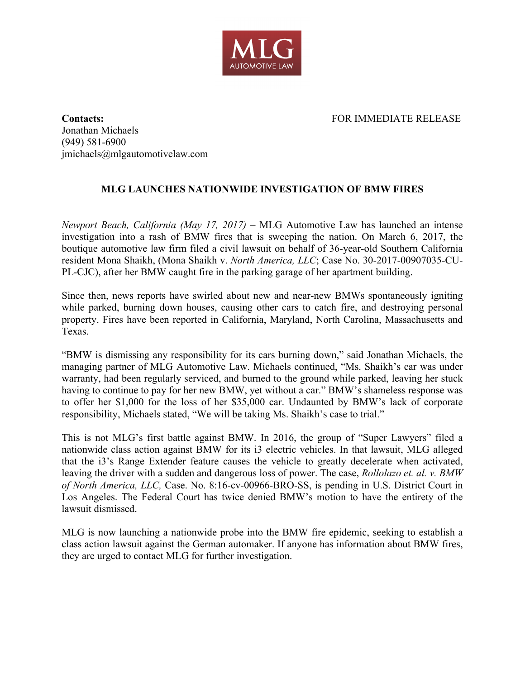

**Contacts:** FOR IMMEDIATE RELEASE Jonathan Michaels (949) 581-6900 jmichaels@mlgautomotivelaw.com

## **MLG LAUNCHES NATIONWIDE INVESTIGATION OF BMW FIRES**

*Newport Beach, California (May 17, 2017)* – MLG Automotive Law has launched an intense investigation into a rash of BMW fires that is sweeping the nation. On March 6, 2017, the boutique automotive law firm filed a civil lawsuit on behalf of 36-year-old Southern California resident Mona Shaikh, (Mona Shaikh v. *North America, LLC*; Case No. 30-2017-00907035-CU-PL-CJC), after her BMW caught fire in the parking garage of her apartment building.

Since then, news reports have swirled about new and near-new BMWs spontaneously igniting while parked, burning down houses, causing other cars to catch fire, and destroying personal property. Fires have been reported in California, Maryland, North Carolina, Massachusetts and Texas.

"BMW is dismissing any responsibility for its cars burning down," said Jonathan Michaels, the managing partner of MLG Automotive Law. Michaels continued, "Ms. Shaikh's car was under warranty, had been regularly serviced, and burned to the ground while parked, leaving her stuck having to continue to pay for her new BMW, yet without a car." BMW's shameless response was to offer her \$1,000 for the loss of her \$35,000 car. Undaunted by BMW's lack of corporate responsibility, Michaels stated, "We will be taking Ms. Shaikh's case to trial."

This is not MLG's first battle against BMW. In 2016, the group of "Super Lawyers" filed a nationwide class action against BMW for its i3 electric vehicles. In that lawsuit, MLG alleged that the i3's Range Extender feature causes the vehicle to greatly decelerate when activated, leaving the driver with a sudden and dangerous loss of power. The case, *Rollolazo et. al. v. BMW of North America, LLC,* Case. No. 8:16-cv-00966-BRO-SS, is pending in U.S. District Court in Los Angeles. The Federal Court has twice denied BMW's motion to have the entirety of the lawsuit dismissed.

MLG is now launching a nationwide probe into the BMW fire epidemic, seeking to establish a class action lawsuit against the German automaker. If anyone has information about BMW fires, they are urged to contact MLG for further investigation.